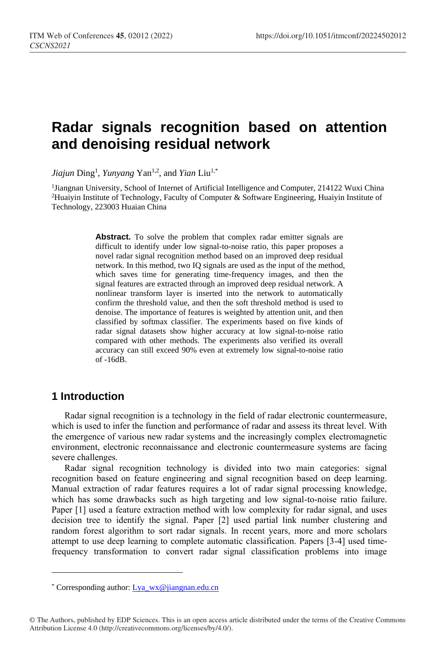# **Radar signals recognition based on attention and denoising residual network**

*Jiajun* Ding<sup>1</sup> , *Yunyang* Yan1,2, and *Yian* Liu1,\*

<sup>1</sup>Jiangnan University, School of Internet of Artificial Intelligence and Computer, 214122 Wuxi China <sup>2</sup>Huaiyin Institute of Technology, Faculty of Computer & Software Engineering, Huaiyin Institute of Technology, 223003 Huaian China

> **Abstract.** To solve the problem that complex radar emitter signals are difficult to identify under low signal-to-noise ratio, this paper proposes a novel radar signal recognition method based on an improved deep residual network. In this method, two IQ signals are used as the input of the method, which saves time for generating time-frequency images, and then the signal features are extracted through an improved deep residual network. A nonlinear transform layer is inserted into the network to automatically confirm the threshold value, and then the soft threshold method is used to denoise. The importance of features is weighted by attention unit, and then classified by softmax classifier. The experiments based on five kinds of radar signal datasets show higher accuracy at low signal-to-noise ratio compared with other methods. The experiments also verified its overall accuracy can still exceed 90% even at extremely low signal-to-noise ratio of -16dB.

### **1 Introduction**

 $\overline{a}$ 

Radar signal recognition is a technology in the field of radar electronic countermeasure, which is used to infer the function and performance of radar and assess its threat level. With the emergence of various new radar systems and the increasingly complex electromagnetic environment, electronic reconnaissance and electronic countermeasure systems are facing severe challenges.

Radar signal recognition technology is divided into two main categories: signal recognition based on feature engineering and signal recognition based on deep learning. Manual extraction of radar features requires a lot of radar signal processing knowledge, which has some drawbacks such as high targeting and low signal-to-noise ratio failure. Paper [1] used a feature extraction method with low complexity for radar signal, and uses decision tree to identify the signal. Paper [2] used partial link number clustering and random forest algorithm to sort radar signals. In recent years, more and more scholars attempt to use deep learning to complete automatic classification. Papers [3-4] used timefrequency transformation to convert radar signal classification problems into image

<sup>\*</sup> Corresponding author[: Lya\\_wx@jiangnan.edu.cn](mailto:Lya_wx@jiangnan.edu.cn)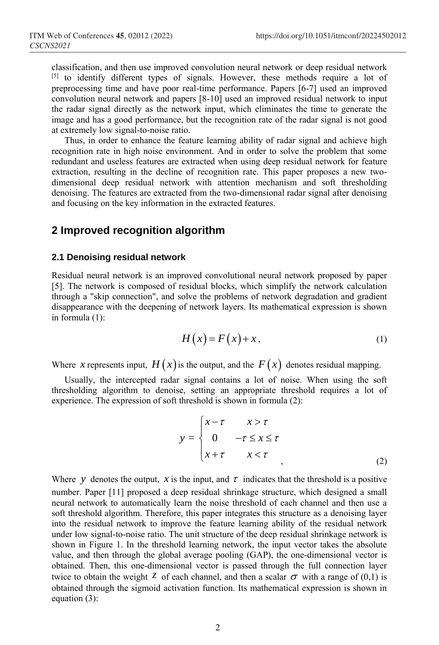classification, and then use improved convolution neural network or deep residual network [5] to identify different types of signals. However, these methods require a lot of preprocessing time and have poor real-time performance. Papers [6-7] used an improved convolution neural network and papers [8-10] used an improved residual network to input the radar signal directly as the network input, which eliminates the time to generate the image and has a good performance, but the recognition rate of the radar signal is not good at extremely low signal-to-noise ratio.

Thus, in order to enhance the feature learning ability of radar signal and achieve high recognition rate in high noise environment. And in order to solve the problem that some redundant and useless features are extracted when using deep residual network for feature extraction, resulting in the decline of recognition rate. This paper proposes a new twodimensional deep residual network with attention mechanism and soft thresholding denoising. The features are extracted from the two-dimensional radar signal after denoising and focusing on the key information in the extracted features.

### **2 Improved recognition algorithm**

#### **2.1 Denoising residual network**

Residual neural network is an improved convolutional neural network proposed by paper [5]. The network is composed of residual blocks, which simplify the network calculation through a "skip connection", and solve the problems of network degradation and gradient disappearance with the deepening of network layers. Its mathematical expression is shown in formula (1):

$$
H(x) = F(x) + x,\tag{1}
$$

Where x represents input,  $H(x)$  is the output, and the  $F(x)$  denotes residual mapping.

Usually, the intercepted radar signal contains a lot of noise. When using the soft thresholding algorithm to denoise, setting an appropriate threshold requires a lot of experience. The expression of soft threshold is shown in formula (2):

$$
y = \begin{cases} x - \tau & x > \tau \\ 0 & -\tau \le x \le \tau \\ x + \tau & x < \tau \end{cases}
$$
 (2)

Where y denotes the output, x is the input, and  $\tau$  indicates that the threshold is a positive number. Paper [11] proposed a deep residual shrinkage structure, which designed a small neural network to automatically learn the noise threshold of each channel and then use a soft threshold algorithm. Therefore, this paper integrates this structure as a denoising layer into the residual network to improve the feature learning ability of the residual network under low signal-to-noise ratio. The unit structure of the deep residual shrinkage network is shown in Figure 1. In the threshold learning network, the input vector takes the absolute value, and then through the global average pooling (GAP), the one-dimensional vector is obtained. Then, this one-dimensional vector is passed through the full connection layer twice to obtain the weight  $\zeta$  of each channel, and then a scalar  $\sigma$  with a range of (0,1) is obtained through the sigmoid activation function. Its mathematical expression is shown in equation (3):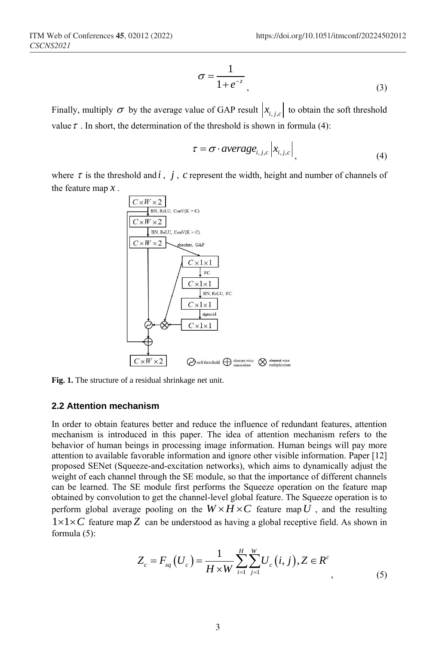$$
\sigma = \frac{1}{1 + e^{-z}}\tag{3}
$$

Finally, multiply  $\sigma$  by the average value of GAP result  $x_{i,j,c}$  to obtain the soft threshold value  $\tau$ . In short, the determination of the threshold is shown in formula (4):

$$
\tau = \sigma \cdot average_{i,j,c} |x_{i,j,c}|, \tag{4}
$$

where  $\tau$  is the threshold and  $i$ ,  $j$ ,  $c$  represent the width, height and number of channels of the feature map *x* .



**Fig. 1.** The structure of a residual shrinkage net unit.

#### **2.2 Attention mechanism**

In order to obtain features better and reduce the influence of redundant features, attention mechanism is introduced in this paper. The idea of attention mechanism refers to the behavior of human beings in processing image information. Human beings will pay more attention to available favorable information and ignore other visible information. Paper [12] proposed SENet (Squeeze-and-excitation networks), which aims to dynamically adjust the weight of each channel through the SE module, so that the importance of different channels can be learned. The SE module first performs the Squeeze operation on the feature map obtained by convolution to get the channel-level global feature. The Squeeze operation is to perform global average pooling on the  $W \times H \times C$  feature map U, and the resulting  $1 \times 1 \times C$  feature map Z can be understood as having a global receptive field. As shown in formula (5):

$$
Z_c = F_{sq}(U_c) = \frac{1}{H \times W} \sum_{i=1}^{H} \sum_{j=1}^{W} U_c(i, j), Z \in R^c
$$
\n(5)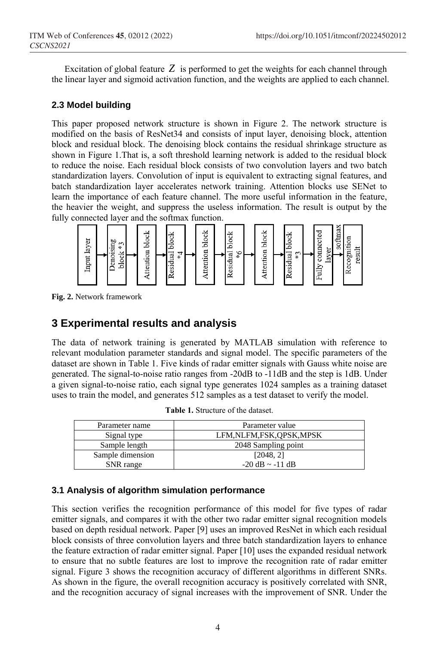Excitation of global feature *Z* is performed to get the weights for each channel through the linear layer and sigmoid activation function, and the weights are applied to each channel.

#### **2.3 Model building**

This paper proposed network structure is shown in Figure 2. The network structure is modified on the basis of ResNet34 and consists of input layer, denoising block, attention block and residual block. The denoising block contains the residual shrinkage structure as shown in Figure 1.That is, a soft threshold learning network is added to the residual block to reduce the noise. Each residual block consists of two convolution layers and two batch standardization layers. Convolution of input is equivalent to extracting signal features, and batch standardization layer accelerates network training. Attention blocks use SENet to learn the importance of each feature channel. The more useful information in the feature, the heavier the weight, and suppress the useless information. The result is output by the fully connected layer and the softmax function.



**Fig. 2.** Network framework

### **3 Experimental results and analysis**

The data of network training is generated by MATLAB simulation with reference to relevant modulation parameter standards and signal model. The specific parameters of the dataset are shown in Table 1. Five kinds of radar emitter signals with Gauss white noise are generated. The signal-to-noise ratio ranges from -20dB to -11dB and the step is 1dB. Under a given signal-to-noise ratio, each signal type generates 1024 samples as a training dataset uses to train the model, and generates 512 samples as a test dataset to verify the model.

| Parameter name   | Parameter value            |
|------------------|----------------------------|
| Signal type      | LFM, NLFM, FSK, OPSK, MPSK |
| Sample length    | 2048 Sampling point        |
| Sample dimension | [2048, 2]                  |
| SNR range        | $-20$ dB $\sim -11$ dB     |

**Table 1.** Structure of the dataset.

### **3.1 Analysis of algorithm simulation performance**

This section verifies the recognition performance of this model for five types of radar emitter signals, and compares it with the other two radar emitter signal recognition models based on depth residual network. Paper [9] uses an improved ResNet in which each residual block consists of three convolution layers and three batch standardization layers to enhance the feature extraction of radar emitter signal. Paper [10] uses the expanded residual network to ensure that no subtle features are lost to improve the recognition rate of radar emitter signal. Figure 3 shows the recognition accuracy of different algorithms in different SNRs. As shown in the figure, the overall recognition accuracy is positively correlated with SNR, and the recognition accuracy of signal increases with the improvement of SNR. Under the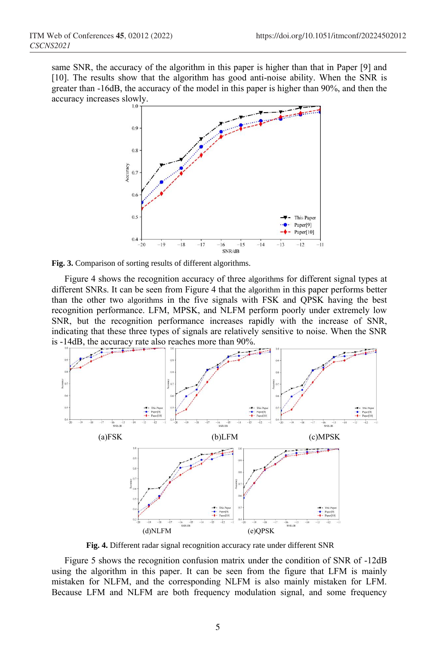same SNR, the accuracy of the algorithm in this paper is higher than that in Paper [9] and [10]. The results show that the algorithm has good anti-noise ability. When the SNR is greater than -16dB, the accuracy of the model in this paper is higher than 90%, and then the accuracy increases slowly.



**Fig. 3.** Comparison of sorting results of different algorithms.

Figure 4 shows the recognition accuracy of three algorithms for different signal types at different SNRs. It can be seen from Figure 4 that the algorithm in this paper performs better than the other two algorithms in the five signals with FSK and QPSK having the best recognition performance. LFM, MPSK, and NLFM perform poorly under extremely low SNR, but the recognition performance increases rapidly with the increase of SNR, indicating that these three types of signals are relatively sensitive to noise. When the SNR is -14dB, the accuracy rate also reaches more than 90%.



**Fig. 4.** Different radar signal recognition accuracy rate under different SNR

Figure 5 shows the recognition confusion matrix under the condition of SNR of -12dB using the algorithm in this paper. It can be seen from the figure that LFM is mainly mistaken for NLFM, and the corresponding NLFM is also mainly mistaken for LFM. Because LFM and NLFM are both frequency modulation signal, and some frequency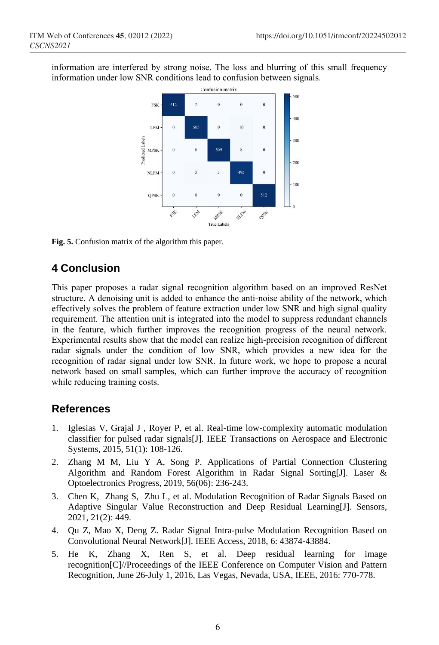information are interfered by strong noise. The loss and blurring of this small frequency information under low SNR conditions lead to confusion between signals.



**Fig. 5.** Confusion matrix of the algorithm this paper.

## **4 Conclusion**

This paper proposes a radar signal recognition algorithm based on an improved ResNet structure. A denoising unit is added to enhance the anti-noise ability of the network, which effectively solves the problem of feature extraction under low SNR and high signal quality requirement. The attention unit is integrated into the model to suppress redundant channels in the feature, which further improves the recognition progress of the neural network. Experimental results show that the model can realize high-precision recognition of different radar signals under the condition of low SNR, which provides a new idea for the recognition of radar signal under low SNR. In future work, we hope to propose a neural network based on small samples, which can further improve the accuracy of recognition while reducing training costs.

### **References**

- 1. Iglesias V, Grajal J , Royer P, et al. Real-time low-complexity automatic modulation classifier for pulsed radar signals[J]. IEEE Transactions on Aerospace and Electronic Systems, 2015, 51(1): 108-126.
- 2. Zhang M M, Liu Y A, Song P. Applications of Partial Connection Clustering Algorithm and Random Forest Algorithm in Radar Signal Sorting[J]. Laser & Optoelectronics Progress, 2019, 56(06): 236-243.
- 3. Chen K, Zhang S, Zhu L, et al. Modulation Recognition of Radar Signals Based on Adaptive Singular Value Reconstruction and Deep Residual Learning[J]. Sensors, 2021, 21(2): 449.
- 4. Qu Z, Mao X, Deng Z. Radar Signal Intra-pulse Modulation Recognition Based on Convolutional Neural Network[J]. IEEE Access, 2018, 6: 43874-43884.
- 5. He K, Zhang X, Ren S, et al. Deep residual learning for image recognition[C]//Proceedings of the IEEE Conference on Computer Vision and Pattern Recognition, June 26-July 1, 2016, Las Vegas, Nevada, USA, IEEE, 2016: 770-778.